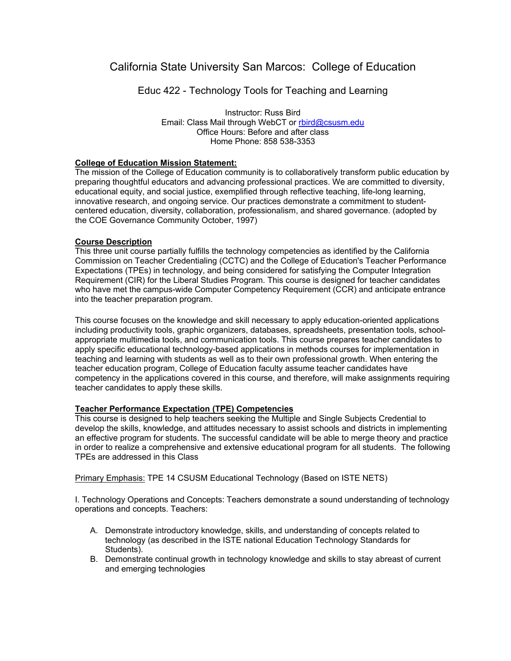# California State University San Marcos: College of Education

Educ 422 - Technology Tools for Teaching and Learning

Instructor: Russ Bird Email: Class Mail through WebCT or rbird@csusm.edu Office Hours: Before and after class Home Phone: 858 538-3353

## **College of Education Mission Statement:**

The mission of the College of Education community is to collaboratively transform public education by preparing thoughtful educators and advancing professional practices. We are committed to diversity, educational equity, and social justice, exemplified through reflective teaching, life-long learning, innovative research, and ongoing service. Our practices demonstrate a commitment to studentcentered education, diversity, collaboration, professionalism, and shared governance. (adopted by the COE Governance Community October, 1997)

## **Course Description**

This three unit course partially fulfills the technology competencies as identified by the California Commission on Teacher Credentialing (CCTC) and the College of Education's Teacher Performance Expectations (TPEs) in technology, and being considered for satisfying the Computer Integration Requirement (CIR) for the Liberal Studies Program. This course is designed for teacher candidates who have met the campus-wide Computer Competency Requirement (CCR) and anticipate entrance into the teacher preparation program.

This course focuses on the knowledge and skill necessary to apply education-oriented applications including productivity tools, graphic organizers, databases, spreadsheets, presentation tools, schoolappropriate multimedia tools, and communication tools. This course prepares teacher candidates to apply specific educational technology-based applications in methods courses for implementation in teaching and learning with students as well as to their own professional growth. When entering the teacher education program, College of Education faculty assume teacher candidates have competency in the applications covered in this course, and therefore, will make assignments requiring teacher candidates to apply these skills.

## **Teacher Performance Expectation (TPE) Competencies**

This course is designed to help teachers seeking the Multiple and Single Subjects Credential to develop the skills, knowledge, and attitudes necessary to assist schools and districts in implementing an effective program for students. The successful candidate will be able to merge theory and practice in order to realize a comprehensive and extensive educational program for all students. The following TPEs are addressed in this Class

Primary Emphasis: TPE 14 CSUSM Educational Technology (Based on ISTE NETS)

I. Technology Operations and Concepts: Teachers demonstrate a sound understanding of technology operations and concepts. Teachers:

- A. Demonstrate introductory knowledge, skills, and understanding of concepts related to technology (as described in the ISTE national Education Technology Standards for Students).
- B. Demonstrate continual growth in technology knowledge and skills to stay abreast of current and emerging technologies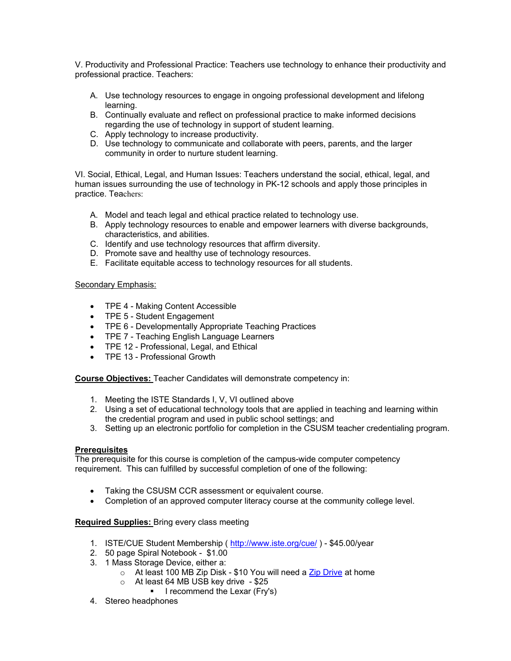V. Productivity and Professional Practice: Teachers use technology to enhance their productivity and professional practice. Teachers:

- A. Use technology resources to engage in ongoing professional development and lifelong learning.
- B. Continually evaluate and reflect on professional practice to make informed decisions regarding the use of technology in support of student learning.
- C. Apply technology to increase productivity.
- D. Use technology to communicate and collaborate with peers, parents, and the larger community in order to nurture student learning.

VI. Social, Ethical, Legal, and Human Issues: Teachers understand the social, ethical, legal, and human issues surrounding the use of technology in PK-12 schools and apply those principles in practice. Teachers:

- A. Model and teach legal and ethical practice related to technology use.
- B. Apply technology resources to enable and empower learners with diverse backgrounds, characteristics, and abilities.
- C. Identify and use technology resources that affirm diversity.
- D. Promote save and healthy use of technology resources.
- E. Facilitate equitable access to technology resources for all students.

## Secondary Emphasis:

- TPE 4 Making Content Accessible
- TPE 5 Student Engagement
- TPE 6 Developmentally Appropriate Teaching Practices
- TPE 7 Teaching English Language Learners
- TPE 12 Professional, Legal, and Ethical
- TPE 13 Professional Growth

**Course Objectives:** Teacher Candidates will demonstrate competency in:

- 1. Meeting the ISTE Standards I, V, VI outlined above
- 2. Using a set of educational technology tools that are applied in teaching and learning within the credential program and used in public school settings; and
- 3. Setting up an electronic portfolio for completion in the CSUSM teacher credentialing program.

## **Prerequisites**

The prerequisite for this course is completion of the campus-wide computer competency requirement. This can fulfilled by successful completion of one of the following:

- Taking the CSUSM CCR assessment or equivalent course.
- Completion of an approved computer literacy course at the community college level.

## **Required Supplies:** Bring every class meeting

- 1. ISTE/CUE Student Membership ( http://www.iste.org/cue/ ) \$45.00/year
- 2. 50 page Spiral Notebook \$1.00
- 3. 1 Mass Storage Device, either a:
	- o At least 100 MB Zip Disk \$10 You will need a Zip Drive at home
	- o At least 64 MB USB key drive \$25
		- **I** recommend the Lexar (Fry's)
- 4. Stereo headphones